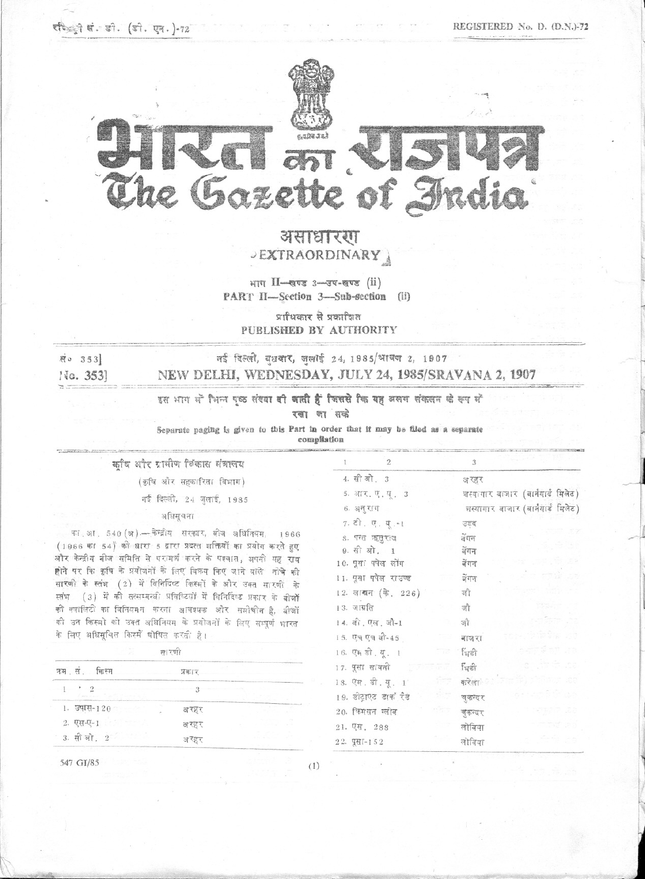-



 $\alpha \rightarrow \alpha \rightarrow \alpha$  , and  $\alpha \rightarrow \alpha$  , and  $\alpha \rightarrow \alpha$  , and  $\alpha \rightarrow \alpha$ 

## असाधारग .)EXTRAORDINARY j

 $n_{\text{min}}$   $11$ -goz  $3$ -goz  $\text{min}$   $\text{min}$ PART II-Section 3-Sub-section (ii)

प्राधिकार से प्रकाशित PUBLISHED BY AUfHORITY --~ ,---'---"-'\_U---' --\_.\_-- "'-'-'-' "

## .सं. 353] बई दिल्ली, बुधवार, जुलाई 24, 1985/श्रायण 2, 1907 No. 353] NEW DELHI, WEDNESDAY, JULY 24, 1985/SRAVANA 2, 1907

 $\gamma$ 

3 अ रहर

नुष्टब् देंगन बेंगन बेंगन ्र<br>बंगम जौ '3fT जौ  $arct$ fust fust करेला <u>चुकन्दर</u> चुकन्दर लोबिया लोविया

शस्यागार बाजार (बार्नयार्ड मिलेट) शस्यागार बाजार (बार्नयार्ड मिलेट)

"

 $4. \hat{a} \hat{a} \hat{a} \hat{b}$ , 3 5. आर. ए. यू. 3  $6.$  अनुराग  $7.5$   $7.4$ ; $-1$ 8. पन्त ऋसराज 9. सी ओ. 1 10. पूसा पपेल लोंग 11. पुसा पपेल राउण्ड 12. लाखन (के. 226)

 $\mathbf{I}$ 

 $13.$  जाग्रति 14. वी. एल. जौ-1 15. एच एच बी-45 16. एम डी. यू. 1 17. पूसा सावनी 18. एम. डी. यू. 1  $19.$  डीट्राएट डाक रैंड  $20.$  किससन ग्लोब 21. एस. 288  $22.$   $991 - 152$ 

इस भाग मों भिन्न पूछ संख्या **वी जाती हैं जिससे कि यह** अलग संकलन के रूप मों

रखा जा सक्टे

Separate paging is given to this Part in order that it may be filed as a separate

compilation ~-- ..\_-----

कषि और रामीण विकास संत्रालय *(कृषि और सहकारिता विभाग)* 

-=.======~.===c=.\_~=-----

नई दिल्ली, 24 जलाई, 1985

## अधिसूचना

का आ. 540 (अ) - केन्द्रीय सरकार, बीज अधिनियम, 1966  $( 1966$  का 54) की धारा 5 द्वारा प्रदत्त गक्तियों का प्रयोग करते हुए और केन्द्रीय बीज समिति से परामर्श करने के पश्चात, अपनी यह राय <u>हो</u>ने पर कि कृषि के प्रयोजनों के लिए विकय किए जाने वाले मोचे की सारणी के स्तंभ (2) में विनिर्दिष्ट किस्मों के और उक्त सारणी के स्तंभ (3) में की तत्सम्बन्धी प्रविष्टियों में विनिर्दिष्ट प्रकार के बीजों की नवालिटी का विनियमन करना आवश्यक और ससीचीन है, बीजों की उन किस्मो को उक्त अधिनियम के प्रयोजनों के लिए सम्पूर्ण भारत के लिए अधिसूचित किस्में घोषित करती है।

|                                                         | ह्या र पा। |  |
|---------------------------------------------------------|------------|--|
| कम सं किस्म                                             | प्रकार     |  |
| Contact in the control of the Contact of the contact of |            |  |
| 1. उषास-120<br>an s                                     | अरहर       |  |
| 2. एस-ए-1                                               | अरहर       |  |
| 3. सीओ, 2                                               | अरहर       |  |

547 *GI/85*

 $\mathbb{Z}$ 

(I)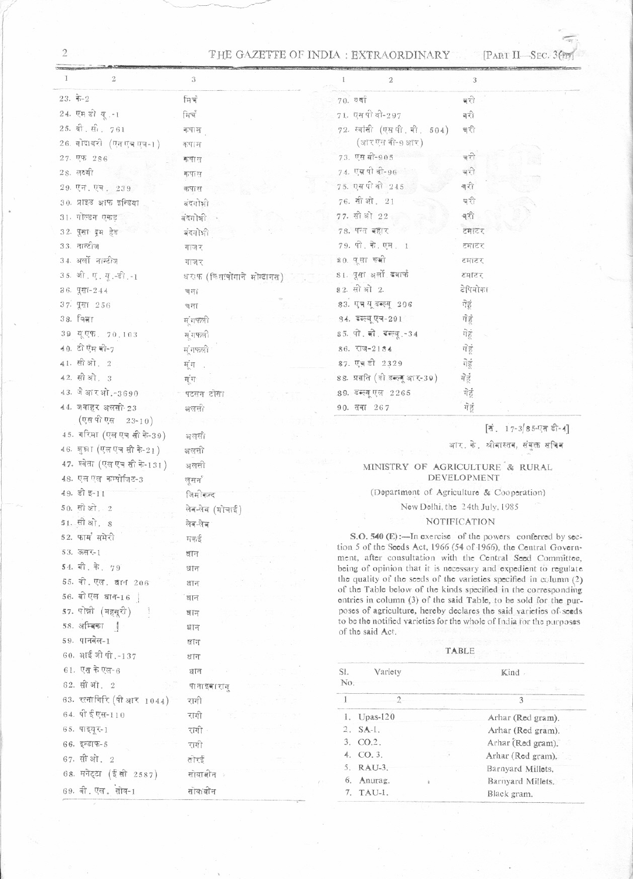## THE GAZETTE OF INDIA : EXTRAORDINARY [PART II-SEC. 3(m)]

| I<br>$\mathbf{2}$             | 3                            | $\mathbf{2}$                   | $\sqrt{3}$                                                                                                                            |
|-------------------------------|------------------------------|--------------------------------|---------------------------------------------------------------------------------------------------------------------------------------|
| $23.$ के-2                    | मिर्च                        | 70.79                          | बरी                                                                                                                                   |
| 24. एम ही यू.-1               | ਸਿਥੰ                         | 71. एस पी वी-297               | बरी                                                                                                                                   |
| 25. बी. सी. 761               | कपास                         | 72. स्वॉसी (एस.पी. बी. 504)    | बरी                                                                                                                                   |
| 26. गोदाबरी (एनएचएच-1)        | कपाम                         | (आरएस बी-9 आर)                 |                                                                                                                                       |
| 27. एफ. 286                   | कपास                         | 73. एस बी-905                  | चरी                                                                                                                                   |
| $2s$ . लक्ष्मी                | कपास                         | 74. एस पी बी-96                | बरी                                                                                                                                   |
| 29. एन. एच. 239               | कपास                         | 75. एस पी वी 245               | बरो                                                                                                                                   |
| 30. प्राइड आफ इन्डिया         | बंदगोभी                      | 76. सी ओ. 21                   | बरी                                                                                                                                   |
| 31. गोल्डन एकड़               | बंदगोभी                      | 77. सी ओ 22                    | बरी                                                                                                                                   |
| 32. पूसा द्रम हेड             | बंदगोभी                      | 78. पन्त बहार                  | टमाटर                                                                                                                                 |
| 33. नान्टीज                   | गाजर                         | 79. पी. के. एम. 1              | उनास्त                                                                                                                                |
| 34. अर्लो नान्टीज             | गाजर                         | 80. पूसा रूबी                  | टमाटर                                                                                                                                 |
| 35. जी. ए. यू.-डी.-1          | धराफ (त्रिसामोगाने भोन्टानस) | 81. पूसा अलों डवाफें           | टमाटर                                                                                                                                 |
| 36. पूसा-244                  | चना                          | <b>82.</b> सो ओ 2.             | टेपियोका                                                                                                                              |
| 37. पूसा 256                  | चना                          | 83. एच यू डब्ल्यू 206          | गेहं                                                                                                                                  |
| 38. जिल्ला                    | म् गफली                      | ९४. इल्यूएच-291                | गेहं                                                                                                                                  |
| 39 यूएफ. 70.103               | म् गफली                      | 35. पी. बी. दरुख् .-34         | गेहं                                                                                                                                  |
| 40. टी ऐम बी-7                | म् गफली                      | 86. राज-2184                   | गेहं                                                                                                                                  |
| 41. सीओ, 2                    | मूंग.                        | 87. एज़ ही 2329                | गेहं                                                                                                                                  |
| 42. सी ओ. 3                   | म्ंग                         | 88. प्रगति (ही डब्ल्गू आर-39)  | गेहूं                                                                                                                                 |
| 43. जे आरओ, -3690             | पटसन टोसा                    | 89. डब्ल्यू एल 2265            | गेहूं                                                                                                                                 |
| 44. जवाहर अलसी-23             |                              | 90. तबा 267                    | गेहं                                                                                                                                  |
| (एस पी एस 23-10)              | अलसी                         |                                |                                                                                                                                       |
| 45. गरिमा (एल एच सी के-39)    | अलसी                         |                                | [लं. 17-3 85-एल ही-4]                                                                                                                 |
|                               |                              |                                | आर. के. श्रीयास्तव, संयुक्त सचिव                                                                                                      |
|                               |                              |                                |                                                                                                                                       |
| $46.$ शुध्रा (एल एच सी के-21) | अलसी                         |                                |                                                                                                                                       |
| 47. श्वेता (एल एच सी के-131)  | अलसी                         |                                | MINISTRY OF AGRICULTURE & RURAL<br>DEVELOPMENT                                                                                        |
| 48. एल एल कम्पोजिट-3          | लुसन                         |                                |                                                                                                                                       |
| $49.$ डी इ-11                 | जिमीकन्द                     |                                | (Department of Agriculture & Cooperation)                                                                                             |
| $50.$ सी ओ, 2                 | लेब-लेब (मोचाई)              |                                | New Delhi, the 24th July, 1985                                                                                                        |
| 51. सीओ, 8                    | लेब-लेब                      |                                | <b>NOTIFICATION</b>                                                                                                                   |
| 52. फार्म समेरी               | मकई                          |                                | S.O. 540 (E):-In exercise of the powers conferred by sec-<br>tion 5 of the Soeds Act, 1966 (54 of 1966), the Central Govern-          |
| 53. ऊसर-1                     | ञ्जान                        |                                | ment, after consultation with the Central Seed Committee,                                                                             |
| 54. बी. के. 79                | धान                          |                                | being of opinion that it is necessary and expedient to regulate                                                                       |
| 55. वी. एल. वान 206           | धान                          |                                | the quality of the seeds of the varieties specified in column $(2)$<br>of the Table below of the kinds specified in the corresponding |
| 56. बीएल धान-16               | धान                          |                                | entries in column (3) of the said Table, to be sold for the pur-                                                                      |
| 57. पोन्नी (महसूरी)           | धान                          |                                | poses of agriculture, hereby declares the said varieties of seeds                                                                     |
| 58. अम्बिका                   | धान                          | of the said Act.               | to be the notified varieties for the whole of India for the purposes                                                                  |
| 59. पानबेल-1                  | প্ৰান                        |                                |                                                                                                                                       |
| 60. अाई जी पी.-137            | क्षान                        |                                | TABLE                                                                                                                                 |
| 61. एस के एल-6                | धान                          | Variety<br>SI.                 | Kind .                                                                                                                                |
| 62. सी ओ. 2                   | पानाइवाराग                   | No.                            |                                                                                                                                       |
| 63. रत्नागिरि (पी आर 1044)    | रागी                         | $\overline{2}$<br>$\mathbf{1}$ | 3                                                                                                                                     |
| 64. पी ई एस-110               | रागो                         | 1. Upas-120                    | Arhar (Red gram).                                                                                                                     |
| 65. पाइयू र-1                 | रागी                         | 2. SA-1.                       | Arhar (Red gram).                                                                                                                     |
| $66.$ इन्डाफ-5                | रागी                         | 3. CO.2.                       | Arhar (Red gram).                                                                                                                     |
| 67. सी ओ, 2                   | तोरई                         | 4. CO. 3.                      | Arhar (Red gram).                                                                                                                     |
| 68. मनेट्टा (ईसी 2587)        | सोयाबीन                      | 5. RAU-3.<br>6. Anurag.        | Barnyard Millets.<br>Barnyard Millets.                                                                                                |

 $\sqrt{2}$